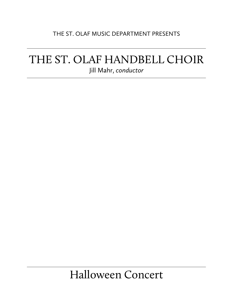## THE ST. OLAF MUSIC DEPARTMENT PRESENTS

# THE ST. OLAF HANDBELL CHOIR Jill Mahr, *conductor*

# Halloween Concert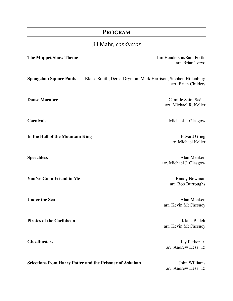## **PROGRAM**

# Jill Mahr, *conductor*

| <b>The Muppet Show Theme</b>     |                                                                 | Jim Henderson/Sam Pottle<br>arr. Brian Tervo  |
|----------------------------------|-----------------------------------------------------------------|-----------------------------------------------|
| <b>Spongebob Square Pants</b>    | Blaise Smith, Derek Drymon, Mark Harrison, Stephen Hillenburg   | arr. Brian Childers                           |
| <b>Danse Macabre</b>             |                                                                 | Camille Saint Saëns<br>arr. Michael R. Keller |
| <b>Carnivale</b>                 |                                                                 | Michael J. Glasgow                            |
| In the Hall of the Mountain King |                                                                 | <b>Edvard Grieg</b><br>arr. Michael Keller    |
| <b>Speechless</b>                |                                                                 | Alan Menken<br>arr. Michael J. Glasgow        |
| You've Got a Friend in Me        |                                                                 | <b>Randy Newman</b><br>arr. Bob Burroughs     |
| <b>Under the Sea</b>             |                                                                 | Alan Menken<br>arr. Kevin McChesney           |
| <b>Pirates of the Caribbean</b>  |                                                                 | Klaus Badelt<br>arr. Kevin McChesney          |
| <b>Ghostbusters</b>              |                                                                 | Ray Parker Jr.<br>arr. Andrew Hess '15        |
|                                  | <b>Selections from Harry Potter and the Prisoner of Askaban</b> | John Williams<br>arr. Andrew Hess '15         |